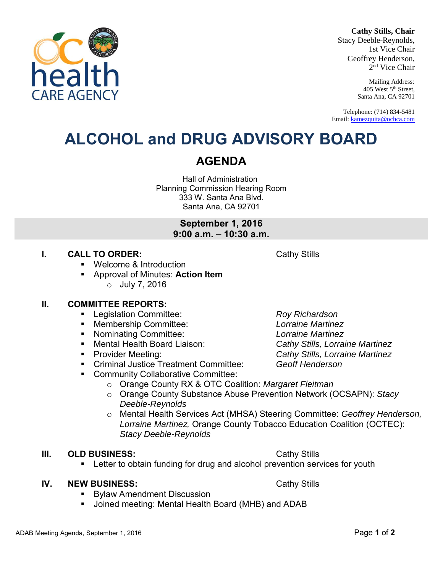#### **Cathy Stills, Chair**

Stacy Deeble-Reynolds, 1st Vice Chair Geoffrey Henderson, 2 nd Vice Chair

> Mailing Address: 405 West 5th Street, Santa Ana, CA 92701

Telephone: (714) 834-5481 Email: [kamezquita@ochca.com](mailto:kamezquita@ochca.com)

## **ALCOHOL and DRUG ADVISORY BOARD**

Hall of Administration Planning Commission Hearing Room 333 W. Santa Ana Blvd. Santa Ana, CA 92701

> **September 1, 2016 9:00 a.m. – 10:30 a.m.**

#### **I. CALL TO ORDER:** Cathy Stills

- Welcome & Introduction
- Approval of Minutes: **Action Item**  o July 7, 2016

#### **II. COMMITTEE REPORTS:**

- Legislation Committee: *Roy Richardson*
- Membership Committee: *Lorraine Martinez*
- Nominating Committee: *Lorraine Martinez*
- Mental Health Board Liaison: *Cathy Stills, Lorraine Martinez*
- 
- Criminal Justice Treatment Committee: *Geoff Henderson*
- **Community Collaborative Committee:** 
	- o Orange County RX & OTC Coalition: *Margaret Fleitman*
	- o Orange County Substance Abuse Prevention Network (OCSAPN): *Stacy Deeble-Reynolds*
	- o Mental Health Services Act (MHSA) Steering Committee: *Geoffrey Henderson, Lorraine Martinez,* Orange County Tobacco Education Coalition (OCTEC): *Stacy Deeble-Reynolds*

#### **III.** OLD BUSINESS: Cathy Stills

Letter to obtain funding for drug and alcohol prevention services for youth

#### **IV.** NEW BUSINESS: Cathy Stills

- Bylaw Amendment Discussion
- Joined meeting: Mental Health Board (MHB) and ADAB

Provider Meeting: *Cathy Stills, Lorraine Martinez*

**AGENDA**